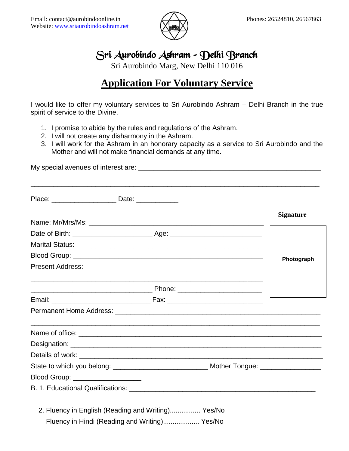

## Sri Aurobindo Ashram – Delhi Branch

Sri Aurobindo Marg, New Delhi 110 016

# **Application For Voluntary Service**

I would like to offer my voluntary services to Sri Aurobindo Ashram – Delhi Branch in the true spirit of service to the Divine.

- 1. I promise to abide by the rules and regulations of the Ashram.
- 2. I will not create any disharmony in the Ashram.
- 3. I will work for the Ashram in an honorary capacity as a service to Sri Aurobindo and the Mother and will not make financial demands at any time.

My special avenues of interest are: \_\_\_\_\_\_\_\_\_\_\_\_\_\_\_\_\_\_\_\_\_\_\_\_\_\_\_\_\_\_\_\_\_\_\_\_\_\_\_\_\_\_\_\_\_\_\_\_

|                                                    | <b>Signature</b> |
|----------------------------------------------------|------------------|
|                                                    |                  |
|                                                    |                  |
|                                                    |                  |
|                                                    | Photograph       |
|                                                    |                  |
|                                                    |                  |
|                                                    |                  |
|                                                    |                  |
|                                                    |                  |
|                                                    |                  |
|                                                    |                  |
| Blood Group: ___________________                   |                  |
|                                                    |                  |
|                                                    |                  |
| 2. Fluency in English (Reading and Writing) Yes/No |                  |
| Fluency in Hindi (Reading and Writing) Yes/No      |                  |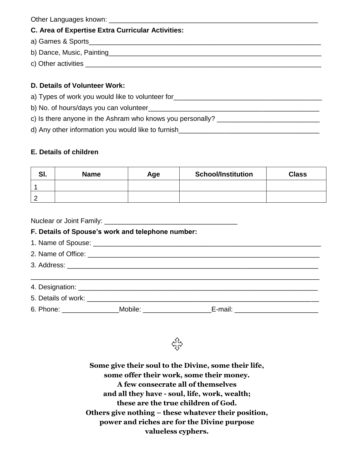| <b>C. Area of Expertise Extra Curricular Activities:</b>                          |  |  |  |  |
|-----------------------------------------------------------------------------------|--|--|--|--|
|                                                                                   |  |  |  |  |
|                                                                                   |  |  |  |  |
|                                                                                   |  |  |  |  |
|                                                                                   |  |  |  |  |
| D. Details of Volunteer Work:                                                     |  |  |  |  |
| a) Types of work you would like to volunteer for_________________________________ |  |  |  |  |
|                                                                                   |  |  |  |  |
|                                                                                   |  |  |  |  |

d) Any other information you would like to furnish

## **E. Details of children**

| e<br>וס. | <b>Name</b> | Age | <b>School/Institution</b> | <b>Class</b> |
|----------|-------------|-----|---------------------------|--------------|
|          |             |     |                           |              |
| c        |             |     |                           |              |

Nuclear or Joint Family: \_\_\_\_\_\_\_\_\_\_\_\_\_\_\_\_\_\_\_\_\_\_\_\_\_\_\_\_\_\_\_\_\_\_\_

### **F. Details of Spouse's work and telephone number:**

- 1. Name of Spouse: \_\_\_\_\_\_\_\_\_\_\_\_\_\_\_\_\_\_\_\_\_\_\_\_\_\_\_\_\_\_\_\_\_\_\_\_\_\_\_\_\_\_\_\_\_\_\_\_\_\_\_\_\_\_\_\_\_\_\_\_
- 2. Name of Office: \_\_\_\_\_\_\_\_\_\_\_\_\_\_\_\_\_\_\_\_\_\_\_\_\_\_\_\_\_\_\_\_\_\_\_\_\_\_\_\_\_\_\_\_\_\_\_\_\_\_\_\_\_\_\_\_\_\_\_\_\_
- 3. Address: \_\_\_\_\_\_\_\_\_\_\_\_\_\_\_\_\_\_\_\_\_\_\_\_\_\_\_\_\_\_\_\_\_\_\_\_\_\_\_\_\_\_\_\_\_\_\_\_\_\_\_\_\_\_\_\_\_\_\_\_\_\_\_\_\_\_

| 4. Designation:     |         |         |  |
|---------------------|---------|---------|--|
| 5. Details of work: |         |         |  |
| 6. Phone:           | Mobile: | E-mail: |  |

**Some give their soul to the Divine, some their life, some offer their work, some their money. A few consecrate all of themselves and all they have - soul, life, work, wealth; these are the true children of God. Others give nothing – these whatever their position, power and riches are for the Divine purpose valueless cyphers.**